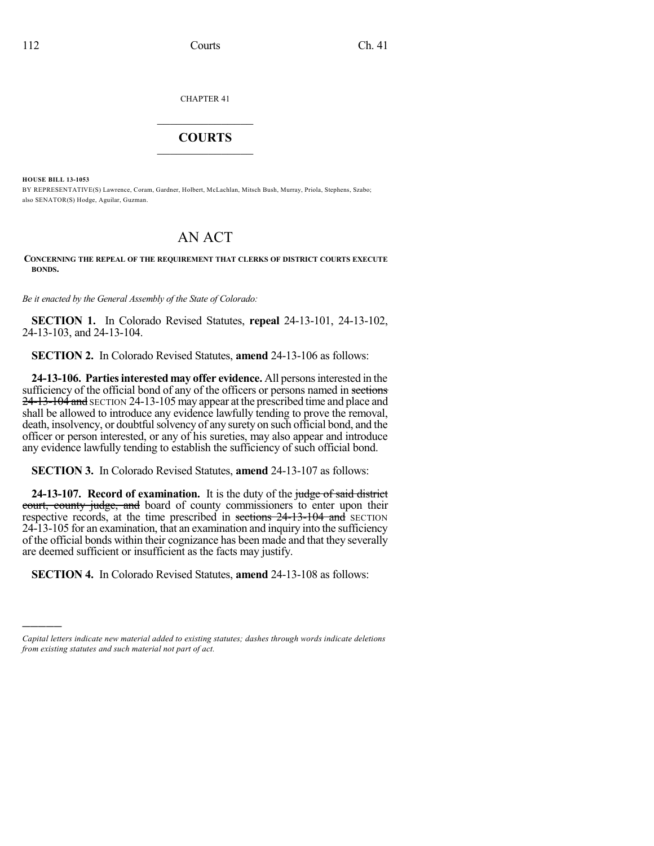CHAPTER 41

## $\overline{\phantom{a}}$  . The set of the set of the set of the set of the set of the set of the set of the set of the set of the set of the set of the set of the set of the set of the set of the set of the set of the set of the set o **COURTS**  $\_$   $\_$   $\_$   $\_$   $\_$   $\_$   $\_$   $\_$

**HOUSE BILL 13-1053**

)))))

BY REPRESENTATIVE(S) Lawrence, Coram, Gardner, Holbert, McLachlan, Mitsch Bush, Murray, Priola, Stephens, Szabo; also SENATOR(S) Hodge, Aguilar, Guzman.

# AN ACT

#### **CONCERNING THE REPEAL OF THE REQUIREMENT THAT CLERKS OF DISTRICT COURTS EXECUTE BONDS.**

*Be it enacted by the General Assembly of the State of Colorado:*

**SECTION 1.** In Colorado Revised Statutes, **repeal** 24-13-101, 24-13-102, 24-13-103, and 24-13-104.

**SECTION 2.** In Colorado Revised Statutes, **amend** 24-13-106 as follows:

**24-13-106. Partiesinterested may offer evidence.** All personsinterested in the sufficiency of the official bond of any of the officers or persons named in sections 24-13-104 and SECTION 24-13-105 may appear at the prescribed time and place and shall be allowed to introduce any evidence lawfully tending to prove the removal, death, insolvency, or doubtful solvency of any surety on such official bond, and the officer or person interested, or any of his sureties, may also appear and introduce any evidence lawfully tending to establish the sufficiency of such official bond.

**SECTION 3.** In Colorado Revised Statutes, **amend** 24-13-107 as follows:

**24-13-107. Record of examination.** It is the duty of the judge of said district court, county judge, and board of county commissioners to enter upon their respective records, at the time prescribed in sections 24-13-104 and SECTION 24-13-105 for an examination, that an examination and inquiry into the sufficiency of the official bonds within their cognizance has been made and that they severally are deemed sufficient or insufficient as the facts may justify.

**SECTION 4.** In Colorado Revised Statutes, **amend** 24-13-108 as follows:

*Capital letters indicate new material added to existing statutes; dashes through words indicate deletions from existing statutes and such material not part of act.*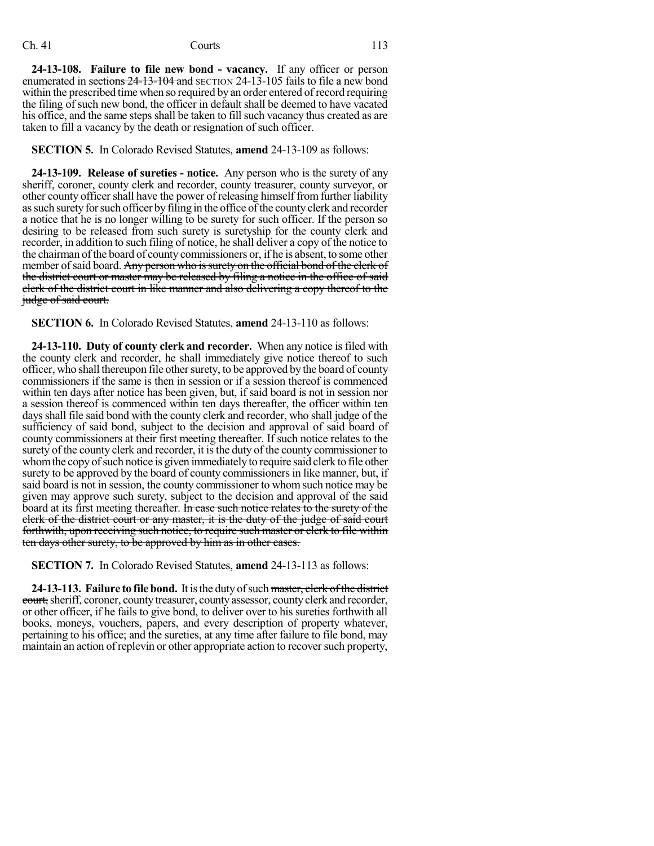### Ch. 41 Courts 113

**24-13-108. Failure to file new bond - vacancy.** If any officer or person enumerated in sections 24-13-104 and SECTION 24-13-105 fails to file a new bond within the prescribed time when so required by an order entered of record requiring the filing of such new bond, the officer in default shall be deemed to have vacated his office, and the same steps shall be taken to fill such vacancy thus created as are taken to fill a vacancy by the death or resignation of such officer.

**SECTION 5.** In Colorado Revised Statutes, **amend** 24-13-109 as follows:

**24-13-109. Release of sureties - notice.** Any person who is the surety of any sheriff, coroner, county clerk and recorder, county treasurer, county surveyor, or other county officershall have the power of releasing himself fromfurther liability assuch suretyforsuch officer byfiling in the office ofthe county clerk and recorder a notice that he is no longer willing to be surety for such officer. If the person so desiring to be released from such surety is suretyship for the county clerk and recorder, in addition to such filing of notice, he shall deliver a copy of the notice to the chairman of the board of county commissioners or, if he is absent, to some other member of said board. Any person who is surety on the official bond of the elerk of the district court or master may be released by filing a notice in the office of said clerk of the district court in like manner and also delivering a copy thereof to the judge of said court.

**SECTION 6.** In Colorado Revised Statutes, **amend** 24-13-110 as follows:

**24-13-110. Duty of county clerk and recorder.** When any notice is filed with the county clerk and recorder, he shall immediately give notice thereof to such officer, who shall thereupon file other surety, to be approved by the board of county commissioners if the same is then in session or if a session thereof is commenced within ten days after notice has been given, but, if said board is not in session nor a session thereof is commenced within ten days thereafter, the officer within ten daysshall file said bond with the county clerk and recorder, who shall judge of the sufficiency of said bond, subject to the decision and approval of said board of county commissioners at their first meeting thereafter. If such notice relates to the surety of the county clerk and recorder, it isthe duty of the county commissioner to whom the copy of such notice is given immediately to require said clerk to file other surety to be approved by the board of county commissionersin like manner, but, if said board is not in session, the county commissioner to whom such notice may be given may approve such surety, subject to the decision and approval of the said board at its first meeting thereafter. In case such notice relates to the surety of the clerk of the district court or any master, it is the duty of the judge of said court forthwith, upon receiving such notice, to require such master or clerk to file within ten days other surety, to be approved by him as in other cases.

**SECTION 7.** In Colorado Revised Statutes, **amend** 24-13-113 as follows:

**24-13-113. Failure to file bond.** It isthe duty ofsuch master, clerk ofthe district court, sheriff, coroner, county treasurer, county assessor, county clerk and recorder, or other officer, if he fails to give bond, to deliver over to his sureties forthwith all books, moneys, vouchers, papers, and every description of property whatever, pertaining to his office; and the sureties, at any time after failure to file bond, may maintain an action of replevin or other appropriate action to recover such property,